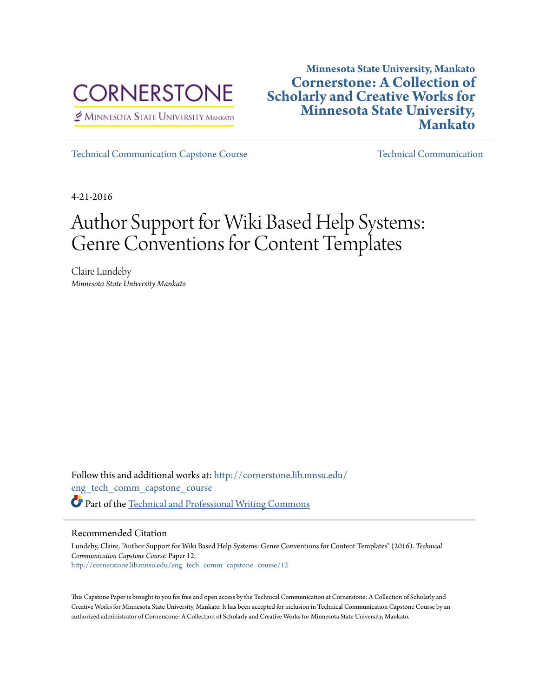

MINNESOTA STATE UNIVERSITY MANKATO

# **Minnesota State University, Mankato [Cornerstone: A Collection of](http://cornerstone.lib.mnsu.edu?utm_source=cornerstone.lib.mnsu.edu%2Feng_tech_comm_capstone_course%2F12&utm_medium=PDF&utm_campaign=PDFCoverPages) [Scholarly and Creative Works for](http://cornerstone.lib.mnsu.edu?utm_source=cornerstone.lib.mnsu.edu%2Feng_tech_comm_capstone_course%2F12&utm_medium=PDF&utm_campaign=PDFCoverPages) [Minnesota State University,](http://cornerstone.lib.mnsu.edu?utm_source=cornerstone.lib.mnsu.edu%2Feng_tech_comm_capstone_course%2F12&utm_medium=PDF&utm_campaign=PDFCoverPages) [Mankato](http://cornerstone.lib.mnsu.edu?utm_source=cornerstone.lib.mnsu.edu%2Feng_tech_comm_capstone_course%2F12&utm_medium=PDF&utm_campaign=PDFCoverPages)**

[Technical Communication Capstone Course](http://cornerstone.lib.mnsu.edu/eng_tech_comm_capstone_course?utm_source=cornerstone.lib.mnsu.edu%2Feng_tech_comm_capstone_course%2F12&utm_medium=PDF&utm_campaign=PDFCoverPages) [Technical Communication](http://cornerstone.lib.mnsu.edu/eng_tech_comm?utm_source=cornerstone.lib.mnsu.edu%2Feng_tech_comm_capstone_course%2F12&utm_medium=PDF&utm_campaign=PDFCoverPages)

4-21-2016

# Author Support for Wiki Based Help Systems: Genre Conventions for Content Templates

Claire Lundeby *Minnesota State University Mankato*

Follow this and additional works at: [http://cornerstone.lib.mnsu.edu/](http://cornerstone.lib.mnsu.edu/eng_tech_comm_capstone_course?utm_source=cornerstone.lib.mnsu.edu%2Feng_tech_comm_capstone_course%2F12&utm_medium=PDF&utm_campaign=PDFCoverPages) [eng\\_tech\\_comm\\_capstone\\_course](http://cornerstone.lib.mnsu.edu/eng_tech_comm_capstone_course?utm_source=cornerstone.lib.mnsu.edu%2Feng_tech_comm_capstone_course%2F12&utm_medium=PDF&utm_campaign=PDFCoverPages) Part of the [Technical and Professional Writing Commons](http://network.bepress.com/hgg/discipline/1347?utm_source=cornerstone.lib.mnsu.edu%2Feng_tech_comm_capstone_course%2F12&utm_medium=PDF&utm_campaign=PDFCoverPages)

#### Recommended Citation

Lundeby, Claire, "Author Support for Wiki Based Help Systems: Genre Conventions for Content Templates" (2016). *Technical Communication Capstone Course.* Paper 12. [http://cornerstone.lib.mnsu.edu/eng\\_tech\\_comm\\_capstone\\_course/12](http://cornerstone.lib.mnsu.edu/eng_tech_comm_capstone_course/12?utm_source=cornerstone.lib.mnsu.edu%2Feng_tech_comm_capstone_course%2F12&utm_medium=PDF&utm_campaign=PDFCoverPages)

This Capstone Paper is brought to you for free and open access by the Technical Communication at Cornerstone: A Collection of Scholarly and Creative Works for Minnesota State University, Mankato. It has been accepted for inclusion in Technical Communication Capstone Course by an authorized administrator of Cornerstone: A Collection of Scholarly and Creative Works for Minnesota State University, Mankato.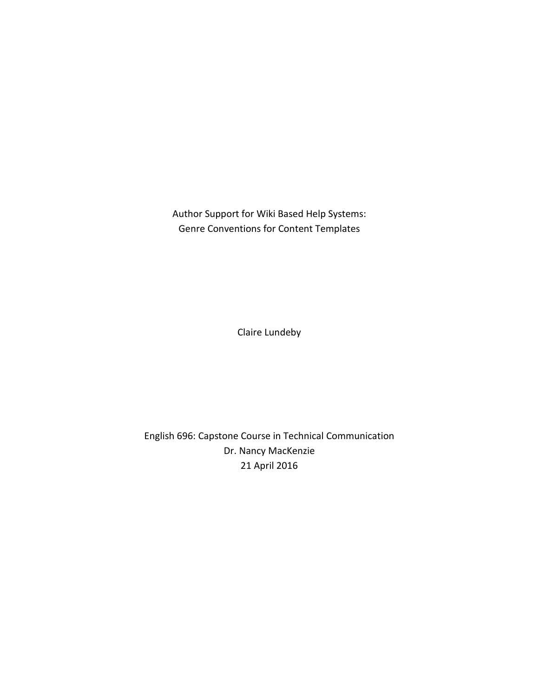Author Support for Wiki Based Help Systems: Genre Conventions for Content Templates

Claire Lundeby

English 696: Capstone Course in Technical Communication Dr. Nancy MacKenzie 21 April 2016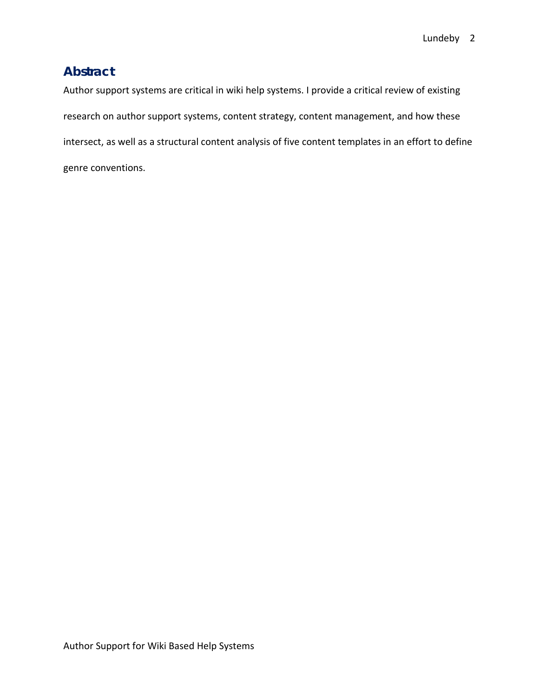# **Abstract**

Author support systems are critical in wiki help systems. I provide a critical review of existing research on author support systems, content strategy, content management, and how these intersect, as well as a structural content analysis of five content templates in an effort to define genre conventions.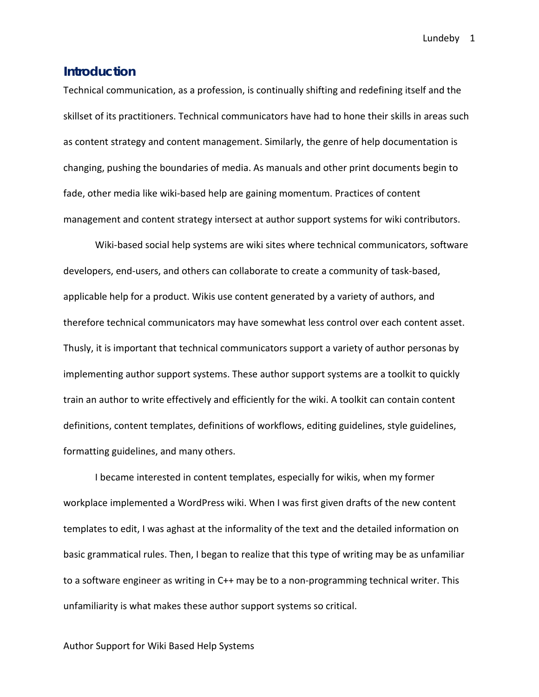### **Introduction**

Technical communication, as a profession, is continually shifting and redefining itself and the skillset of its practitioners. Technical communicators have had to hone their skills in areas such as content strategy and content management. Similarly, the genre of help documentation is changing, pushing the boundaries of media. As manuals and other print documents begin to fade, other media like wiki-based help are gaining momentum. Practices of content management and content strategy intersect at author support systems for wiki contributors.

Wiki-based social help systems are wiki sites where technical communicators, software developers, end-users, and others can collaborate to create a community of task-based, applicable help for a product. Wikis use content generated by a variety of authors, and therefore technical communicators may have somewhat less control over each content asset. Thusly, it is important that technical communicators support a variety of author personas by implementing author support systems. These author support systems are a toolkit to quickly train an author to write effectively and efficiently for the wiki. A toolkit can contain content definitions, content templates, definitions of workflows, editing guidelines, style guidelines, formatting guidelines, and many others.

I became interested in content templates, especially for wikis, when my former workplace implemented a WordPress wiki. When I was first given drafts of the new content templates to edit, I was aghast at the informality of the text and the detailed information on basic grammatical rules. Then, I began to realize that this type of writing may be as unfamiliar to a software engineer as writing in C++ may be to a non-programming technical writer. This unfamiliarity is what makes these author support systems so critical.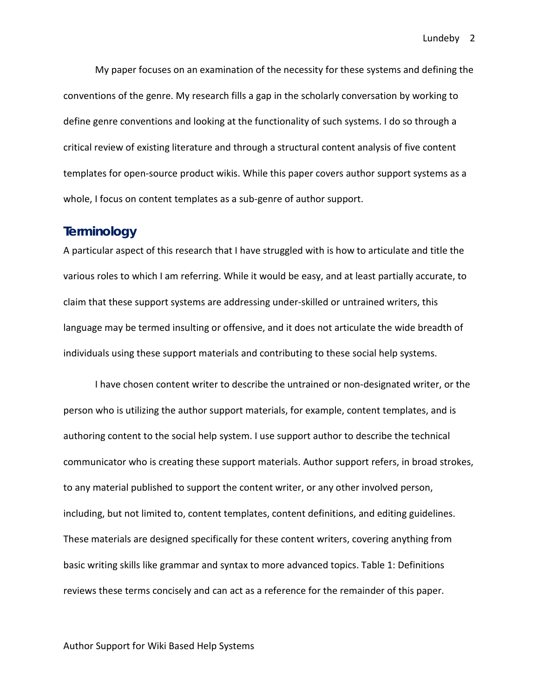My paper focuses on an examination of the necessity for these systems and defining the conventions of the genre. My research fills a gap in the scholarly conversation by working to define genre conventions and looking at the functionality of such systems. I do so through a critical review of existing literature and through a structural content analysis of five content templates for open-source product wikis. While this paper covers author support systems as a whole, I focus on content templates as a sub-genre of author support.

### **Terminology**

A particular aspect of this research that I have struggled with is how to articulate and title the various roles to which I am referring. While it would be easy, and at least partially accurate, to claim that these support systems are addressing under-skilled or untrained writers, this language may be termed insulting or offensive, and it does not articulate the wide breadth of individuals using these support materials and contributing to these social help systems.

I have chosen content writer to describe the untrained or non-designated writer, or the person who is utilizing the author support materials, for example, content templates, and is authoring content to the social help system. I use support author to describe the technical communicator who is creating these support materials. Author support refers, in broad strokes, to any material published to support the content writer, or any other involved person, including, but not limited to, content templates, content definitions, and editing guidelines. These materials are designed specifically for these content writers, covering anything from basic writing skills like grammar and syntax to more advanced topics. Table 1: Definitions reviews these terms concisely and can act as a reference for the remainder of this paper.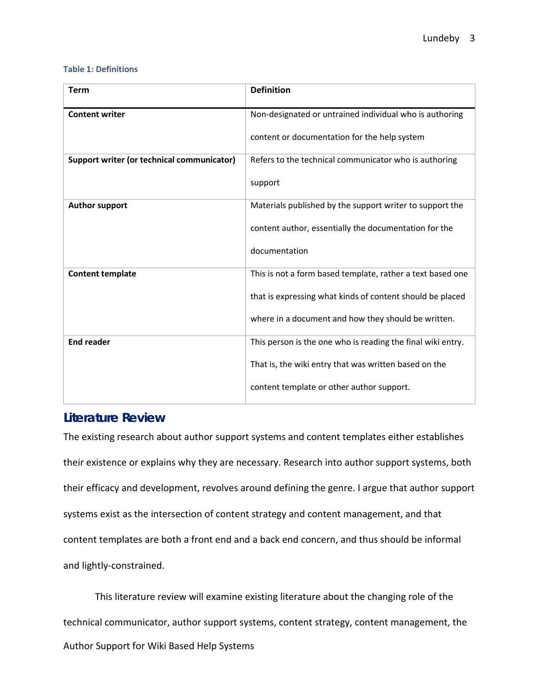#### **Table 1: Definitions**

| <b>Term</b>                                       | <b>Definition</b>                                           |
|---------------------------------------------------|-------------------------------------------------------------|
| <b>Content writer</b>                             | Non-designated or untrained individual who is authoring     |
|                                                   | content or documentation for the help system                |
| <b>Support writer (or technical communicator)</b> | Refers to the technical communicator who is authoring       |
|                                                   | support                                                     |
| <b>Author support</b>                             | Materials published by the support writer to support the    |
|                                                   | content author, essentially the documentation for the       |
|                                                   | documentation                                               |
| <b>Content template</b>                           | This is not a form based template, rather a text based one  |
|                                                   | that is expressing what kinds of content should be placed   |
|                                                   | where in a document and how they should be written.         |
| <b>End reader</b>                                 | This person is the one who is reading the final wiki entry. |
|                                                   | That is, the wiki entry that was written based on the       |
|                                                   | content template or other author support.                   |

# **Literature Review**

The existing research about author support systems and content templates either establishes their existence or explains why they are necessary. Research into author support systems, both their efficacy and development, revolves around defining the genre. I argue that author support systems exist as the intersection of content strategy and content management, and that content templates are both a front end and a back end concern, and thus should be informal and lightly-constrained.

Author Support for Wiki Based Help Systems This literature review will examine existing literature about the changing role of the technical communicator, author support systems, content strategy, content management, the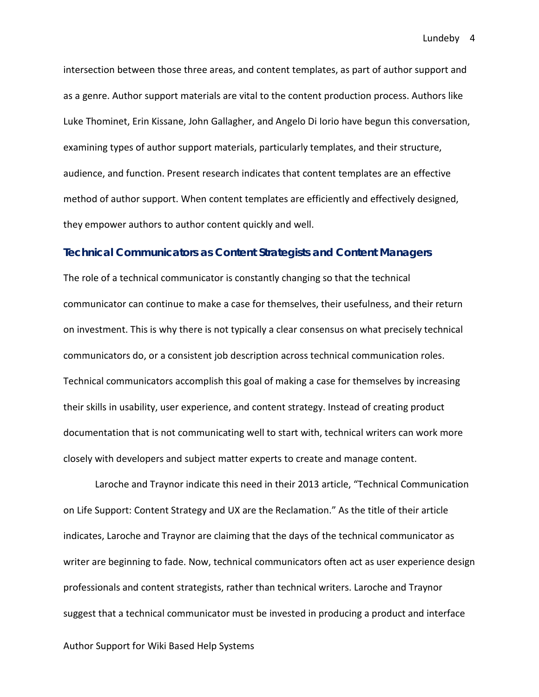intersection between those three areas, and content templates, as part of author support and as a genre. Author support materials are vital to the content production process. Authors like Luke Thominet, Erin Kissane, John Gallagher, and Angelo Di Iorio have begun this conversation, examining types of author support materials, particularly templates, and their structure, audience, and function. Present research indicates that content templates are an effective method of author support. When content templates are efficiently and effectively designed, they empower authors to author content quickly and well.

#### **Technical Communicators as Content Strategists and Content Managers**

The role of a technical communicator is constantly changing so that the technical communicator can continue to make a case for themselves, their usefulness, and their return on investment. This is why there is not typically a clear consensus on what precisely technical communicators do, or a consistent job description across technical communication roles. Technical communicators accomplish this goal of making a case for themselves by increasing their skills in usability, user experience, and content strategy. Instead of creating product documentation that is not communicating well to start with, technical writers can work more closely with developers and subject matter experts to create and manage content.

Laroche and Traynor indicate this need in their 2013 article, "Technical Communication on Life Support: Content Strategy and UX are the Reclamation." As the title of their article indicates, Laroche and Traynor are claiming that the days of the technical communicator as writer are beginning to fade. Now, technical communicators often act as user experience design professionals and content strategists, rather than technical writers. Laroche and Traynor suggest that a technical communicator must be invested in producing a product and interface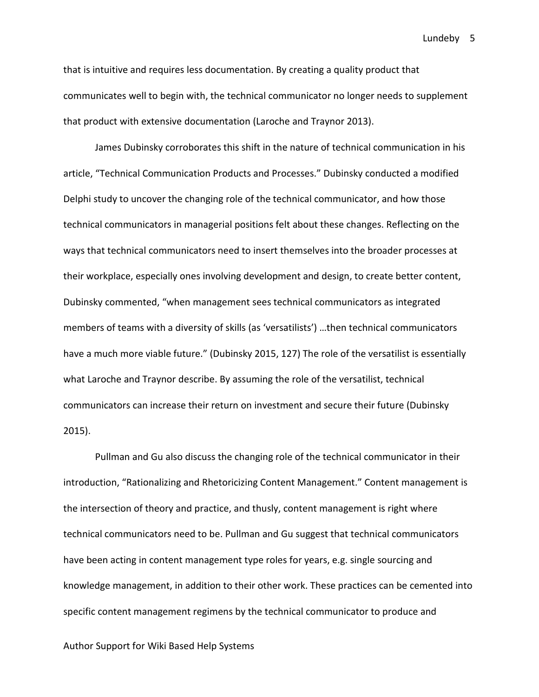that is intuitive and requires less documentation. By creating a quality product that communicates well to begin with, the technical communicator no longer needs to supplement that product with extensive documentation (Laroche and Traynor 2013).

James Dubinsky corroborates this shift in the nature of technical communication in his article, "Technical Communication Products and Processes." Dubinsky conducted a modified Delphi study to uncover the changing role of the technical communicator, and how those technical communicators in managerial positions felt about these changes. Reflecting on the ways that technical communicators need to insert themselves into the broader processes at their workplace, especially ones involving development and design, to create better content, Dubinsky commented, "when management sees technical communicators as integrated members of teams with a diversity of skills (as 'versatilists') …then technical communicators have a much more viable future." (Dubinsky 2015, 127) The role of the versatilist is essentially what Laroche and Traynor describe. By assuming the role of the versatilist, technical communicators can increase their return on investment and secure their future (Dubinsky 2015).

Pullman and Gu also discuss the changing role of the technical communicator in their introduction, "Rationalizing and Rhetoricizing Content Management." Content management is the intersection of theory and practice, and thusly, content management is right where technical communicators need to be. Pullman and Gu suggest that technical communicators have been acting in content management type roles for years, e.g. single sourcing and knowledge management, in addition to their other work. These practices can be cemented into specific content management regimens by the technical communicator to produce and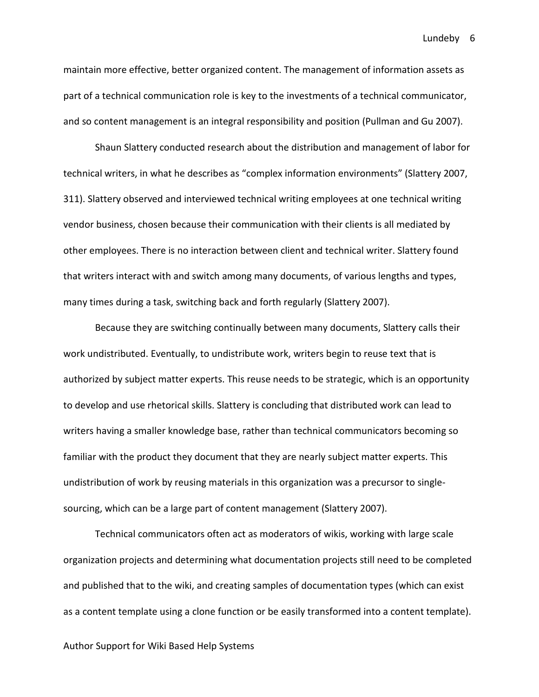maintain more effective, better organized content. The management of information assets as part of a technical communication role is key to the investments of a technical communicator, and so content management is an integral responsibility and position (Pullman and Gu 2007).

Shaun Slattery conducted research about the distribution and management of labor for technical writers, in what he describes as "complex information environments" (Slattery 2007, 311). Slattery observed and interviewed technical writing employees at one technical writing vendor business, chosen because their communication with their clients is all mediated by other employees. There is no interaction between client and technical writer. Slattery found that writers interact with and switch among many documents, of various lengths and types, many times during a task, switching back and forth regularly (Slattery 2007).

Because they are switching continually between many documents, Slattery calls their work undistributed. Eventually, to undistribute work, writers begin to reuse text that is authorized by subject matter experts. This reuse needs to be strategic, which is an opportunity to develop and use rhetorical skills. Slattery is concluding that distributed work can lead to writers having a smaller knowledge base, rather than technical communicators becoming so familiar with the product they document that they are nearly subject matter experts. This undistribution of work by reusing materials in this organization was a precursor to singlesourcing, which can be a large part of content management (Slattery 2007).

Technical communicators often act as moderators of wikis, working with large scale organization projects and determining what documentation projects still need to be completed and published that to the wiki, and creating samples of documentation types (which can exist as a content template using a clone function or be easily transformed into a content template).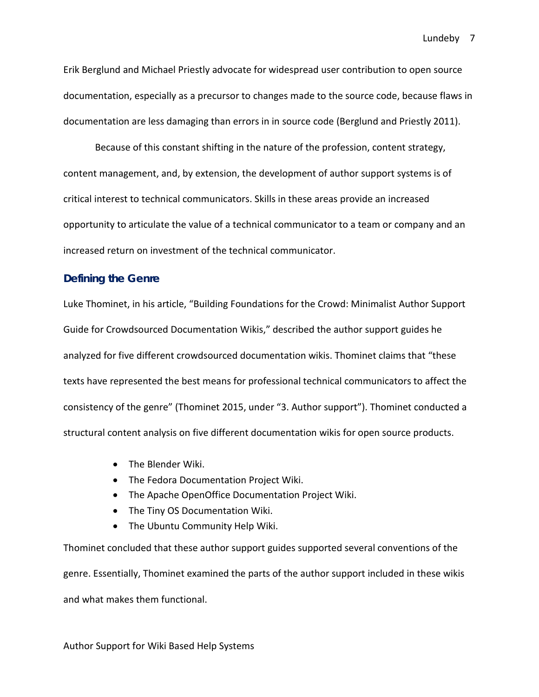Erik Berglund and Michael Priestly advocate for widespread user contribution to open source documentation, especially as a precursor to changes made to the source code, because flaws in documentation are less damaging than errors in in source code (Berglund and Priestly 2011).

Because of this constant shifting in the nature of the profession, content strategy, content management, and, by extension, the development of author support systems is of critical interest to technical communicators. Skills in these areas provide an increased opportunity to articulate the value of a technical communicator to a team or company and an increased return on investment of the technical communicator.

### **Defining the Genre**

Luke Thominet, in his article, "Building Foundations for the Crowd: Minimalist Author Support Guide for Crowdsourced Documentation Wikis," described the author support guides he analyzed for five different crowdsourced documentation wikis. Thominet claims that "these texts have represented the best means for professional technical communicators to affect the consistency of the genre" (Thominet 2015, under "3. Author support"). Thominet conducted a structural content analysis on five different documentation wikis for open source products.

- The Blender Wiki.
- The Fedora Documentation Project Wiki.
- The Apache OpenOffice Documentation Project Wiki.
- The Tiny OS Documentation Wiki.
- The Ubuntu Community Help Wiki.

Thominet concluded that these author support guides supported several conventions of the genre. Essentially, Thominet examined the parts of the author support included in these wikis and what makes them functional.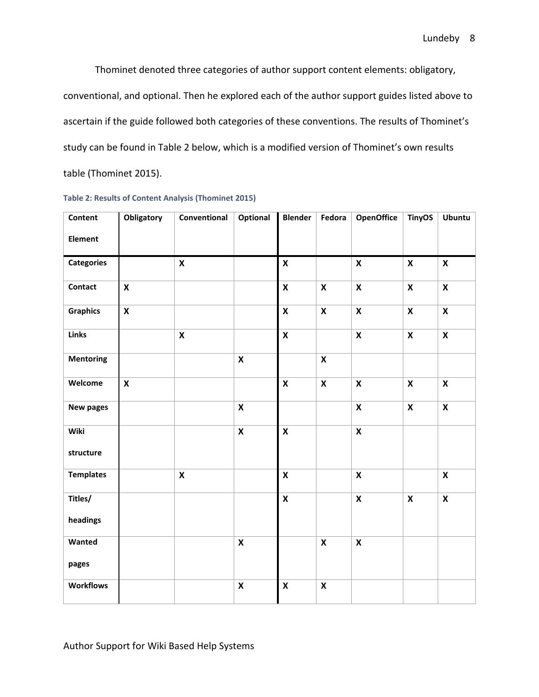Thominet denoted three categories of author support content elements: obligatory, conventional, and optional. Then he explored each of the author support guides listed above to ascertain if the guide followed both categories of these conventions. The results of Thominet's study can be found in Table 2 below, which is a modified version of Thominet's own results table (Thominet 2015).

| Content           | <b>Obligatory</b>         | Conventional              | <b>Optional</b>           | Blender            | Fedora                    | <b>OpenOffice</b>         | <b>TinyOS</b>             | <b>Ubuntu</b>             |
|-------------------|---------------------------|---------------------------|---------------------------|--------------------|---------------------------|---------------------------|---------------------------|---------------------------|
| Element           |                           |                           |                           |                    |                           |                           |                           |                           |
| <b>Categories</b> |                           | $\boldsymbol{\mathsf{x}}$ |                           | $\mathsf{x}$       |                           | $\pmb{\mathsf{X}}$        | $\pmb{\mathsf{X}}$        | $\boldsymbol{\mathsf{X}}$ |
| <b>Contact</b>    | $\boldsymbol{\mathsf{x}}$ |                           |                           | $\mathsf{x}$       | $\boldsymbol{\mathsf{x}}$ | $\boldsymbol{\mathsf{x}}$ | $\boldsymbol{\mathsf{X}}$ | $\pmb{\mathsf{X}}$        |
| <b>Graphics</b>   | $\pmb{\mathsf{X}}$        |                           |                           | $\pmb{\mathsf{X}}$ | $\mathbf x$               | $\pmb{\mathsf{X}}$        | $\pmb{\mathsf{X}}$        | $\mathbf x$               |
| Links             |                           | $\pmb{\mathsf{X}}$        |                           | $\pmb{\mathsf{X}}$ |                           | $\pmb{\mathsf{X}}$        | $\pmb{\mathsf{X}}$        | $\pmb{\mathsf{X}}$        |
| <b>Mentoring</b>  |                           |                           | $\pmb{\mathsf{X}}$        |                    | $\boldsymbol{\mathsf{x}}$ |                           |                           |                           |
| Welcome           | $\boldsymbol{\mathsf{x}}$ |                           |                           | $\pmb{\mathsf{X}}$ | $\boldsymbol{\mathsf{x}}$ | $\pmb{\mathsf{X}}$        | $\boldsymbol{\mathsf{X}}$ | $\pmb{\mathsf{X}}$        |
| New pages         |                           |                           | $\pmb{\mathsf{X}}$        |                    |                           | $\mathsf{x}$              | $\boldsymbol{\mathsf{X}}$ | $\boldsymbol{\mathsf{X}}$ |
| Wiki              |                           |                           | $\boldsymbol{\mathsf{x}}$ | $\pmb{\mathsf{X}}$ |                           | $\pmb{\mathsf{X}}$        |                           |                           |
| structure         |                           |                           |                           |                    |                           |                           |                           |                           |
| <b>Templates</b>  |                           | $\boldsymbol{\mathsf{x}}$ |                           | $\mathsf{x}$       |                           | $\boldsymbol{\mathsf{x}}$ |                           | $\pmb{\mathsf{X}}$        |
| Titles/           |                           |                           |                           | $\pmb{\mathsf{X}}$ |                           | $\pmb{\mathsf{X}}$        | $\boldsymbol{\mathsf{X}}$ | $\boldsymbol{\mathsf{X}}$ |
| headings          |                           |                           |                           |                    |                           |                           |                           |                           |
| Wanted            |                           |                           | $\pmb{\mathsf{X}}$        |                    | $\mathsf{x}$              | $\boldsymbol{\mathsf{x}}$ |                           |                           |
| pages             |                           |                           |                           |                    |                           |                           |                           |                           |
| <b>Workflows</b>  |                           |                           | $\pmb{\mathsf{X}}$        | $\pmb{\mathsf{X}}$ | $\pmb{\mathsf{X}}$        |                           |                           |                           |

**Table 2: Results of Content Analysis (Thominet 2015)**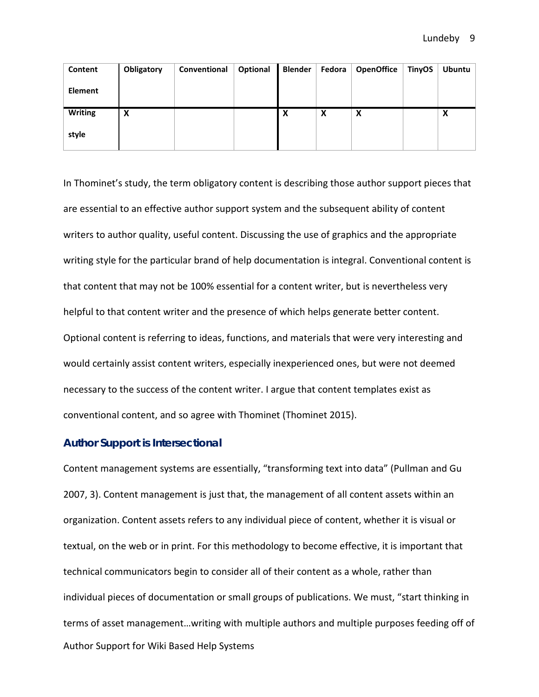| Content        | Obligatory | Conventional | Optional | <b>Blender</b> | Fedora | <b>OpenOffice</b> | <b>TinyOS</b> | <b>Ubuntu</b> |
|----------------|------------|--------------|----------|----------------|--------|-------------------|---------------|---------------|
| <b>Element</b> |            |              |          |                |        |                   |               |               |
| <b>Writing</b> | X          |              |          | X              | X      | X                 |               | v<br>⋏        |
| style          |            |              |          |                |        |                   |               |               |

In Thominet's study, the term obligatory content is describing those author support pieces that are essential to an effective author support system and the subsequent ability of content writers to author quality, useful content. Discussing the use of graphics and the appropriate writing style for the particular brand of help documentation is integral. Conventional content is that content that may not be 100% essential for a content writer, but is nevertheless very helpful to that content writer and the presence of which helps generate better content. Optional content is referring to ideas, functions, and materials that were very interesting and would certainly assist content writers, especially inexperienced ones, but were not deemed necessary to the success of the content writer. I argue that content templates exist as conventional content, and so agree with Thominet (Thominet 2015).

### **Author Support is Intersectional**

Author Support for Wiki Based Help Systems Content management systems are essentially, "transforming text into data" (Pullman and Gu 2007, 3). Content management is just that, the management of all content assets within an organization. Content assets refers to any individual piece of content, whether it is visual or textual, on the web or in print. For this methodology to become effective, it is important that technical communicators begin to consider all of their content as a whole, rather than individual pieces of documentation or small groups of publications. We must, "start thinking in terms of asset management…writing with multiple authors and multiple purposes feeding off of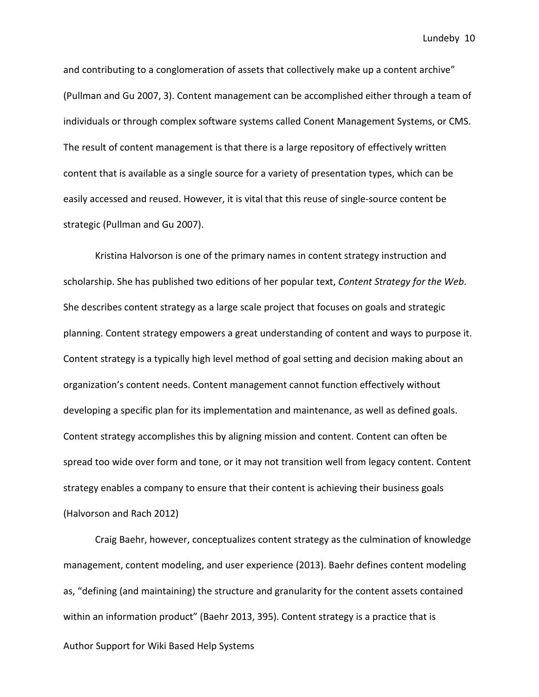and contributing to a conglomeration of assets that collectively make up a content archive" (Pullman and Gu 2007, 3). Content management can be accomplished either through a team of individuals or through complex software systems called Conent Management Systems, or CMS. The result of content management is that there is a large repository of effectively written content that is available as a single source for a variety of presentation types, which can be easily accessed and reused. However, it is vital that this reuse of single-source content be strategic (Pullman and Gu 2007).

Kristina Halvorson is one of the primary names in content strategy instruction and scholarship. She has published two editions of her popular text, *Content Strategy for the Web*. She describes content strategy as a large scale project that focuses on goals and strategic planning. Content strategy empowers a great understanding of content and ways to purpose it. Content strategy is a typically high level method of goal setting and decision making about an organization's content needs. Content management cannot function effectively without developing a specific plan for its implementation and maintenance, as well as defined goals. Content strategy accomplishes this by aligning mission and content. Content can often be spread too wide over form and tone, or it may not transition well from legacy content. Content strategy enables a company to ensure that their content is achieving their business goals (Halvorson and Rach 2012)

Author Support for Wiki Based Help Systems Craig Baehr, however, conceptualizes content strategy as the culmination of knowledge management, content modeling, and user experience (2013). Baehr defines content modeling as, "defining (and maintaining) the structure and granularity for the content assets contained within an information product" (Baehr 2013, 395). Content strategy is a practice that is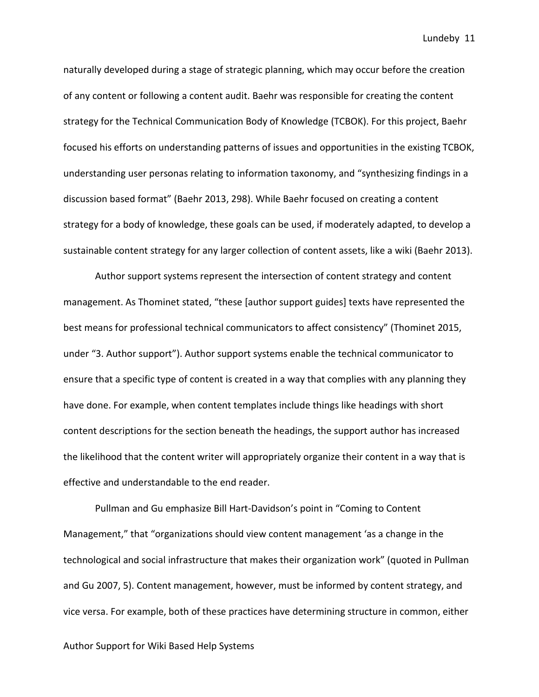naturally developed during a stage of strategic planning, which may occur before the creation of any content or following a content audit. Baehr was responsible for creating the content strategy for the Technical Communication Body of Knowledge (TCBOK). For this project, Baehr focused his efforts on understanding patterns of issues and opportunities in the existing TCBOK, understanding user personas relating to information taxonomy, and "synthesizing findings in a discussion based format" (Baehr 2013, 298). While Baehr focused on creating a content strategy for a body of knowledge, these goals can be used, if moderately adapted, to develop a sustainable content strategy for any larger collection of content assets, like a wiki (Baehr 2013).

Author support systems represent the intersection of content strategy and content management. As Thominet stated, "these [author support guides] texts have represented the best means for professional technical communicators to affect consistency" (Thominet 2015, under "3. Author support"). Author support systems enable the technical communicator to ensure that a specific type of content is created in a way that complies with any planning they have done. For example, when content templates include things like headings with short content descriptions for the section beneath the headings, the support author has increased the likelihood that the content writer will appropriately organize their content in a way that is effective and understandable to the end reader.

Pullman and Gu emphasize Bill Hart-Davidson's point in "Coming to Content Management," that "organizations should view content management 'as a change in the technological and social infrastructure that makes their organization work" (quoted in Pullman and Gu 2007, 5). Content management, however, must be informed by content strategy, and vice versa. For example, both of these practices have determining structure in common, either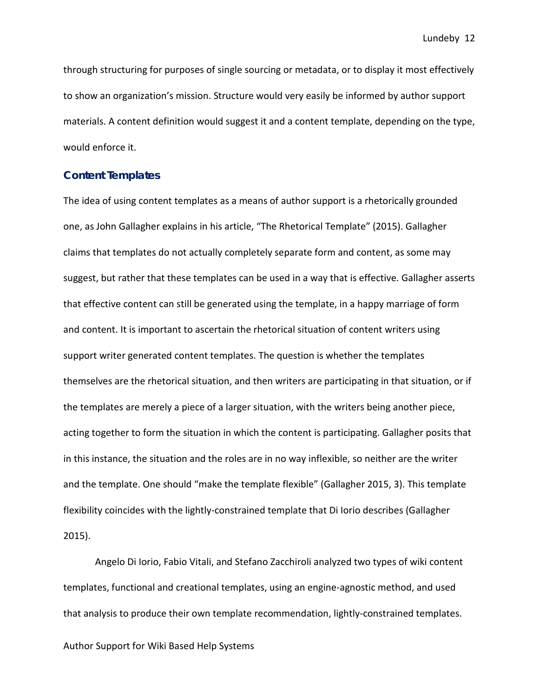through structuring for purposes of single sourcing or metadata, or to display it most effectively to show an organization's mission. Structure would very easily be informed by author support materials. A content definition would suggest it and a content template, depending on the type, would enforce it.

#### **Content Templates**

The idea of using content templates as a means of author support is a rhetorically grounded one, as John Gallagher explains in his article, "The Rhetorical Template" (2015). Gallagher claims that templates do not actually completely separate form and content, as some may suggest, but rather that these templates can be used in a way that is effective. Gallagher asserts that effective content can still be generated using the template, in a happy marriage of form and content. It is important to ascertain the rhetorical situation of content writers using support writer generated content templates. The question is whether the templates themselves are the rhetorical situation, and then writers are participating in that situation, or if the templates are merely a piece of a larger situation, with the writers being another piece, acting together to form the situation in which the content is participating. Gallagher posits that in this instance, the situation and the roles are in no way inflexible, so neither are the writer and the template. One should "make the template flexible" (Gallagher 2015, 3). This template flexibility coincides with the lightly-constrained template that Di Iorio describes (Gallagher 2015).

Angelo Di Iorio, Fabio Vitali, and Stefano Zacchiroli analyzed two types of wiki content templates, functional and creational templates, using an engine-agnostic method, and used that analysis to produce their own template recommendation, lightly-constrained templates.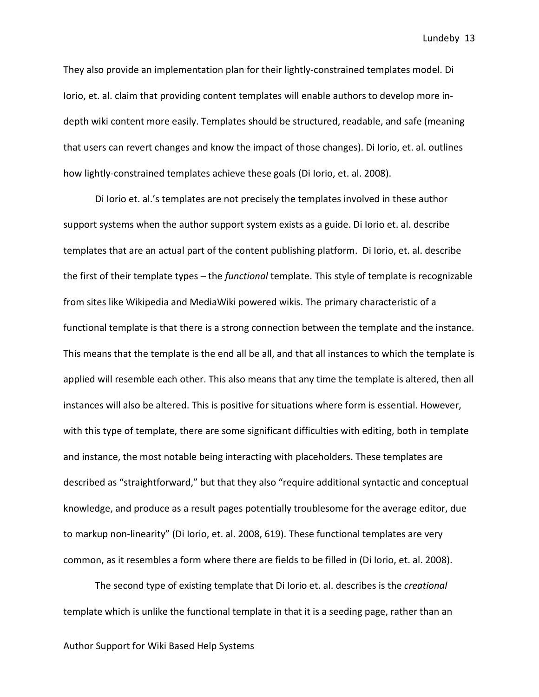They also provide an implementation plan for their lightly-constrained templates model. Di Iorio, et. al. claim that providing content templates will enable authors to develop more indepth wiki content more easily. Templates should be structured, readable, and safe (meaning that users can revert changes and know the impact of those changes). Di Iorio, et. al. outlines how lightly-constrained templates achieve these goals (Di Iorio, et. al. 2008).

Di Iorio et. al.'s templates are not precisely the templates involved in these author support systems when the author support system exists as a guide. Di Iorio et. al. describe templates that are an actual part of the content publishing platform. Di Iorio, et. al. describe the first of their template types – the *functional* template. This style of template is recognizable from sites like Wikipedia and MediaWiki powered wikis. The primary characteristic of a functional template is that there is a strong connection between the template and the instance. This means that the template is the end all be all, and that all instances to which the template is applied will resemble each other. This also means that any time the template is altered, then all instances will also be altered. This is positive for situations where form is essential. However, with this type of template, there are some significant difficulties with editing, both in template and instance, the most notable being interacting with placeholders. These templates are described as "straightforward," but that they also "require additional syntactic and conceptual knowledge, and produce as a result pages potentially troublesome for the average editor, due to markup non-linearity" (Di Iorio, et. al. 2008, 619). These functional templates are very common, as it resembles a form where there are fields to be filled in (Di Iorio, et. al. 2008).

The second type of existing template that Di Iorio et. al. describes is the *creational*  template which is unlike the functional template in that it is a seeding page, rather than an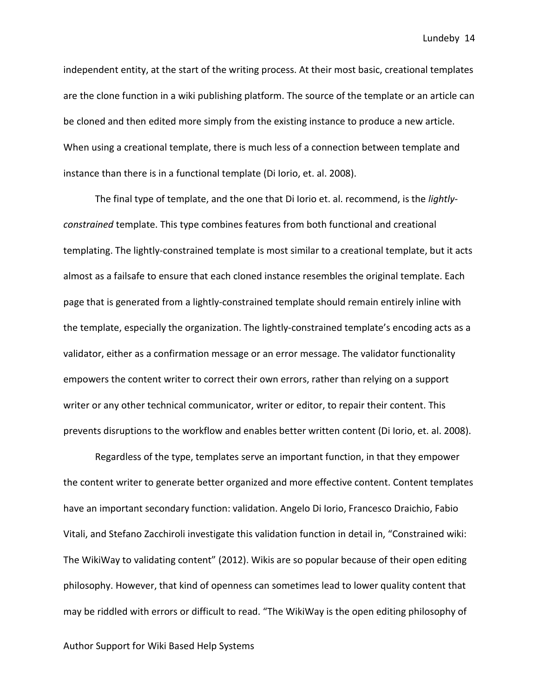independent entity, at the start of the writing process. At their most basic, creational templates are the clone function in a wiki publishing platform. The source of the template or an article can be cloned and then edited more simply from the existing instance to produce a new article. When using a creational template, there is much less of a connection between template and instance than there is in a functional template (Di Iorio, et. al. 2008).

The final type of template, and the one that Di Iorio et. al. recommend, is the *lightlyconstrained* template. This type combines features from both functional and creational templating. The lightly-constrained template is most similar to a creational template, but it acts almost as a failsafe to ensure that each cloned instance resembles the original template. Each page that is generated from a lightly-constrained template should remain entirely inline with the template, especially the organization. The lightly-constrained template's encoding acts as a validator, either as a confirmation message or an error message. The validator functionality empowers the content writer to correct their own errors, rather than relying on a support writer or any other technical communicator, writer or editor, to repair their content. This prevents disruptions to the workflow and enables better written content (Di Iorio, et. al. 2008).

Regardless of the type, templates serve an important function, in that they empower the content writer to generate better organized and more effective content. Content templates have an important secondary function: validation. Angelo Di Iorio, Francesco Draichio, Fabio Vitali, and Stefano Zacchiroli investigate this validation function in detail in, "Constrained wiki: The WikiWay to validating content" (2012). Wikis are so popular because of their open editing philosophy. However, that kind of openness can sometimes lead to lower quality content that may be riddled with errors or difficult to read. "The WikiWay is the open editing philosophy of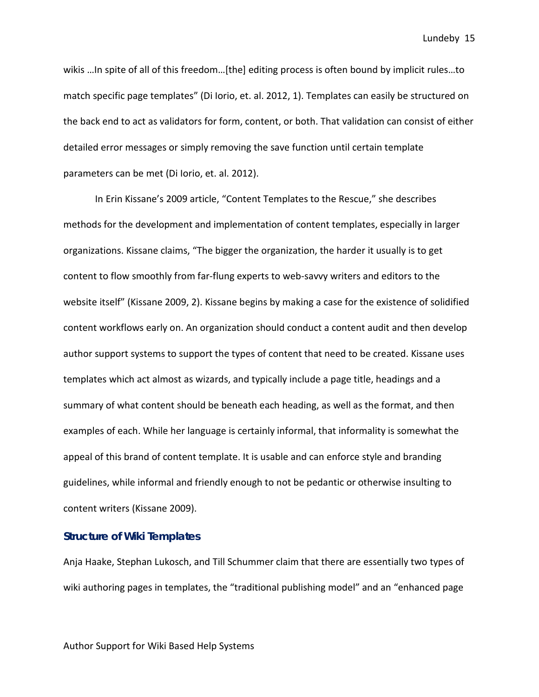wikis …In spite of all of this freedom…[the] editing process is often bound by implicit rules…to match specific page templates" (Di Iorio, et. al. 2012, 1). Templates can easily be structured on the back end to act as validators for form, content, or both. That validation can consist of either detailed error messages or simply removing the save function until certain template parameters can be met (Di Iorio, et. al. 2012).

In Erin Kissane's 2009 article, "Content Templates to the Rescue," she describes methods for the development and implementation of content templates, especially in larger organizations. Kissane claims, "The bigger the organization, the harder it usually is to get content to flow smoothly from far-flung experts to web-savvy writers and editors to the website itself" (Kissane 2009, 2). Kissane begins by making a case for the existence of solidified content workflows early on. An organization should conduct a content audit and then develop author support systems to support the types of content that need to be created. Kissane uses templates which act almost as wizards, and typically include a page title, headings and a summary of what content should be beneath each heading, as well as the format, and then examples of each. While her language is certainly informal, that informality is somewhat the appeal of this brand of content template. It is usable and can enforce style and branding guidelines, while informal and friendly enough to not be pedantic or otherwise insulting to content writers (Kissane 2009).

### **Structure of Wiki Templates**

Anja Haake, Stephan Lukosch, and Till Schummer claim that there are essentially two types of wiki authoring pages in templates, the "traditional publishing model" and an "enhanced page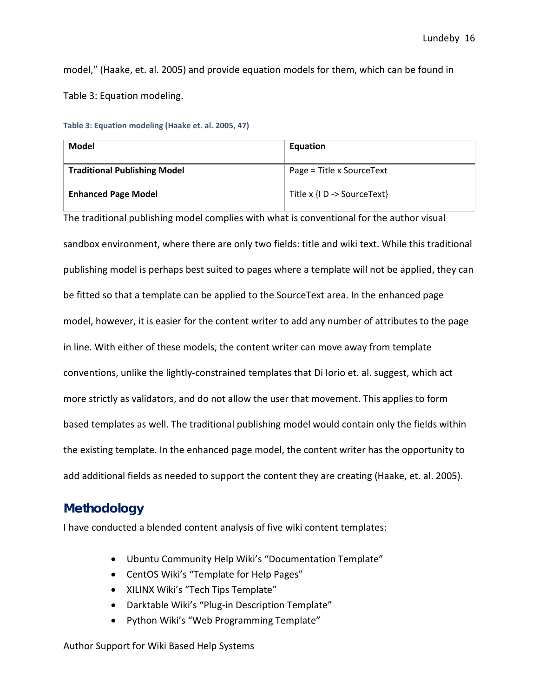model," (Haake, et. al. 2005) and provide equation models for them, which can be found in Table 3: Equation modeling.

|  | Table 3: Equation modeling (Haake et. al. 2005, 47) |  |  |  |
|--|-----------------------------------------------------|--|--|--|
|--|-----------------------------------------------------|--|--|--|

| Model                               | Equation                    |
|-------------------------------------|-----------------------------|
| <b>Traditional Publishing Model</b> | Page = Title x SourceText   |
| <b>Enhanced Page Model</b>          | Title x {I D -> SourceText} |

The traditional publishing model complies with what is conventional for the author visual sandbox environment, where there are only two fields: title and wiki text. While this traditional publishing model is perhaps best suited to pages where a template will not be applied, they can be fitted so that a template can be applied to the SourceText area. In the enhanced page model, however, it is easier for the content writer to add any number of attributes to the page in line. With either of these models, the content writer can move away from template conventions, unlike the lightly-constrained templates that Di Iorio et. al. suggest, which act more strictly as validators, and do not allow the user that movement. This applies to form based templates as well. The traditional publishing model would contain only the fields within the existing template. In the enhanced page model, the content writer has the opportunity to add additional fields as needed to support the content they are creating (Haake, et. al. 2005).

# **Methodology**

I have conducted a blended content analysis of five wiki content templates:

- Ubuntu Community Help Wiki's "Documentation Template"
- CentOS Wiki's "Template for Help Pages"
- XILINX Wiki's "Tech Tips Template"
- Darktable Wiki's "Plug-in Description Template"
- Python Wiki's "Web Programming Template"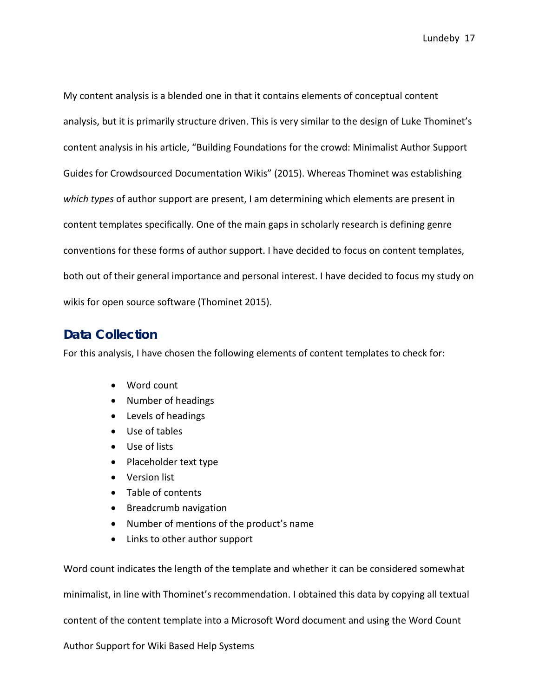My content analysis is a blended one in that it contains elements of conceptual content analysis, but it is primarily structure driven. This is very similar to the design of Luke Thominet's content analysis in his article, "Building Foundations for the crowd: Minimalist Author Support Guides for Crowdsourced Documentation Wikis" (2015). Whereas Thominet was establishing *which types* of author support are present, I am determining which elements are present in content templates specifically. One of the main gaps in scholarly research is defining genre conventions for these forms of author support. I have decided to focus on content templates, both out of their general importance and personal interest. I have decided to focus my study on wikis for open source software (Thominet 2015).

# **Data Collection**

For this analysis, I have chosen the following elements of content templates to check for:

- Word count
- Number of headings
- Levels of headings
- Use of tables
- Use of lists
- Placeholder text type
- Version list
- Table of contents
- Breadcrumb navigation
- Number of mentions of the product's name
- Links to other author support

Word count indicates the length of the template and whether it can be considered somewhat

minimalist, in line with Thominet's recommendation. I obtained this data by copying all textual

content of the content template into a Microsoft Word document and using the Word Count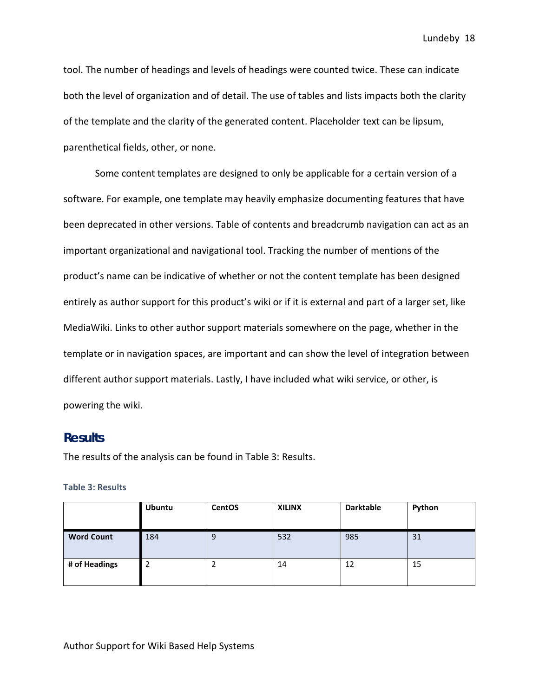tool. The number of headings and levels of headings were counted twice. These can indicate both the level of organization and of detail. The use of tables and lists impacts both the clarity of the template and the clarity of the generated content. Placeholder text can be lipsum, parenthetical fields, other, or none.

Some content templates are designed to only be applicable for a certain version of a software. For example, one template may heavily emphasize documenting features that have been deprecated in other versions. Table of contents and breadcrumb navigation can act as an important organizational and navigational tool. Tracking the number of mentions of the product's name can be indicative of whether or not the content template has been designed entirely as author support for this product's wiki or if it is external and part of a larger set, like MediaWiki. Links to other author support materials somewhere on the page, whether in the template or in navigation spaces, are important and can show the level of integration between different author support materials. Lastly, I have included what wiki service, or other, is powering the wiki.

### **Results**

The results of the analysis can be found in Table 3: Results.

**Table 3: Results**

|                   | <b>Ubuntu</b> | <b>CentOS</b> | <b>XILINX</b> | <b>Darktable</b> | Python |
|-------------------|---------------|---------------|---------------|------------------|--------|
| <b>Word Count</b> | 184           | 9             | 532           | 985              | 31     |
| # of Headings     |               |               | 14            | 12               | 15     |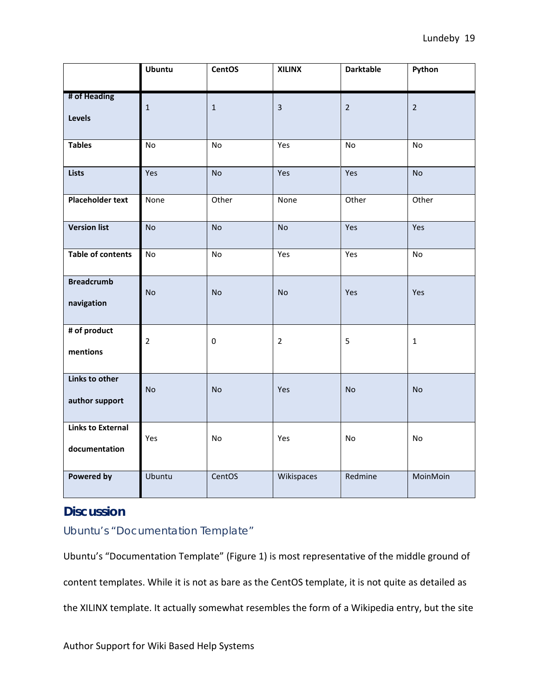|                                           | <b>Ubuntu</b>  | <b>CentOS</b>    | <b>XILINX</b>  | <b>Darktable</b> | Python         |
|-------------------------------------------|----------------|------------------|----------------|------------------|----------------|
| # of Heading<br>Levels                    | $\mathbf{1}$   | $\mathbf{1}$     | $\overline{3}$ | $\overline{2}$   | $\overline{2}$ |
| <b>Tables</b>                             | No             | No               | Yes            | No               | No             |
| <b>Lists</b>                              | Yes            | <b>No</b>        | Yes            | Yes              | <b>No</b>      |
| <b>Placeholder text</b>                   | None           | Other            | None           | Other            | Other          |
| <b>Version list</b>                       | <b>No</b>      | <b>No</b>        | <b>No</b>      | Yes              | Yes            |
| <b>Table of contents</b>                  | No             | No               | Yes            | Yes              | No             |
| <b>Breadcrumb</b><br>navigation           | <b>No</b>      | <b>No</b>        | <b>No</b>      | Yes              | Yes            |
| # of product<br>mentions                  | $\overline{2}$ | $\boldsymbol{0}$ | $\overline{2}$ | 5                | $\mathbf 1$    |
| Links to other<br>author support          | <b>No</b>      | <b>No</b>        | Yes            | <b>No</b>        | <b>No</b>      |
| <b>Links to External</b><br>documentation | Yes            | No               | Yes            | No               | No             |
| <b>Powered by</b>                         | Ubuntu         | CentOS           | Wikispaces     | Redmine          | MoinMoin       |

# **Discussion**

# Ubuntu's "Documentation Template"

Ubuntu's "Documentation Template" (Figure 1) is most representative of the middle ground of content templates. While it is not as bare as the CentOS template, it is not quite as detailed as the XILINX template. It actually somewhat resembles the form of a Wikipedia entry, but the site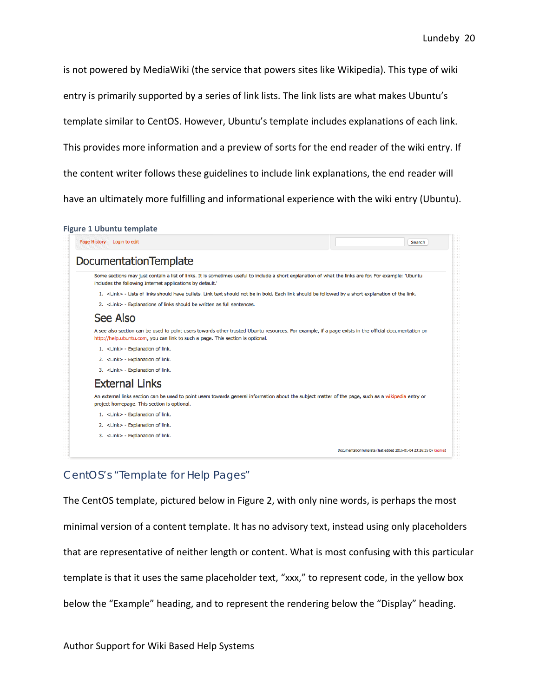is not powered by MediaWiki (the service that powers sites like Wikipedia). This type of wiki

entry is primarily supported by a series of link lists. The link lists are what makes Ubuntu's

template similar to CentOS. However, Ubuntu's template includes explanations of each link.

This provides more information and a preview of sorts for the end reader of the wiki entry. If

the content writer follows these guidelines to include link explanations, the end reader will

have an ultimately more fulfilling and informational experience with the wiki entry (Ubuntu).

| Page History Login to edit                                                                                                                                                                                                             | Search                                                           |
|----------------------------------------------------------------------------------------------------------------------------------------------------------------------------------------------------------------------------------------|------------------------------------------------------------------|
| <b>DocumentationTemplate</b>                                                                                                                                                                                                           |                                                                  |
| Some sections may just contain a list of links. It is sometimes useful to include a short explanation of what the links are for. For example: 'Ubuntu<br>includes the following Internet applications by default.'                     |                                                                  |
| 1. <link/> - Lists of links should have bullets. Link text should not be in bold. Each link should be followed by a short explanation of the link.                                                                                     |                                                                  |
| 2. <link/> - Explanations of links should be written as full sentences.                                                                                                                                                                |                                                                  |
| See Also                                                                                                                                                                                                                               |                                                                  |
| A see also section can be used to point users towards other trusted Ubuntu resources. For example, if a page exists in the official documentation on<br>http://help.ubuntu.com, you can link to such a page. This section is optional. |                                                                  |
| 1. <link/> - Explanation of link.                                                                                                                                                                                                      |                                                                  |
| 2. <link/> - Explanation of link.                                                                                                                                                                                                      |                                                                  |
| 3. <link/> - Explanation of link.                                                                                                                                                                                                      |                                                                  |
| <b>External Links</b>                                                                                                                                                                                                                  |                                                                  |
| An external links section can be used to point users towards general information about the subject matter of the page, such as a wikipedia entry or<br>project homepage. This section is optional.                                     |                                                                  |
| 1. <link/> - Explanation of link.                                                                                                                                                                                                      |                                                                  |
| 2. <link/> - Explanation of link.                                                                                                                                                                                                      |                                                                  |
| 3. <link/> - Explanation of link.                                                                                                                                                                                                      |                                                                  |
|                                                                                                                                                                                                                                        | DocumentationTemplate (last edited 2016-01-04 23:26:35 by knome) |

# CentOS's "Template for Help Pages"

The CentOS template, pictured below in Figure 2, with only nine words, is perhaps the most

minimal version of a content template. It has no advisory text, instead using only placeholders

that are representative of neither length or content. What is most confusing with this particular

template is that it uses the same placeholder text, "xxx," to represent code, in the yellow box

below the "Example" heading, and to represent the rendering below the "Display" heading.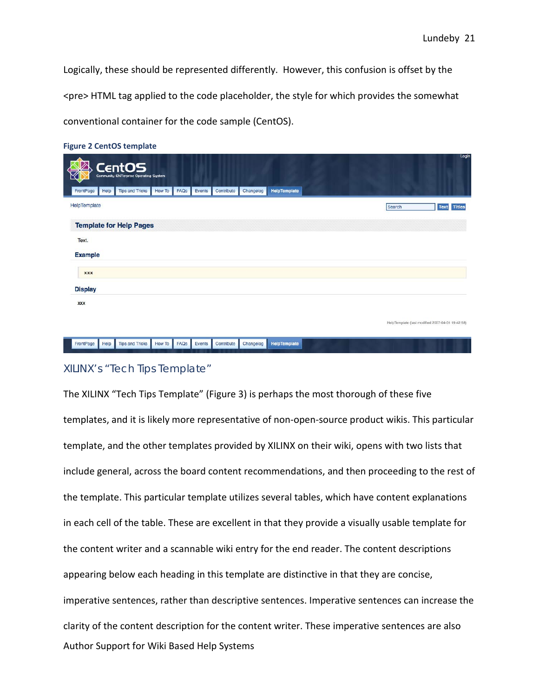Logically, these should be represented differently. However, this confusion is offset by the <pre> HTML tag applied to the code placeholder, the style for which provides the somewhat conventional container for the code sample (CentOS).

|  | <b>Figure 2 CentOS template</b> |  |
|--|---------------------------------|--|
|  |                                 |  |

|                |      | <b>CentOS</b><br><b>Community ENTerprise Operating System</b> |               |      |        |            |           |                     |  |        | rogiu                                            |
|----------------|------|---------------------------------------------------------------|---------------|------|--------|------------|-----------|---------------------|--|--------|--------------------------------------------------|
| FrontPage      | Help | <b>Tips and Tricks</b>                                        | <b>How To</b> | FAQs | Events | Contribute | Changelog | HelpTemplate        |  |        |                                                  |
| HelpTemplate   |      |                                                               |               |      |        |            |           |                     |  | Search | <b>Titles</b><br><b>Text</b>                     |
|                |      | <b>Template for Help Pages</b>                                |               |      |        |            |           |                     |  |        |                                                  |
| Text.          |      |                                                               |               |      |        |            |           |                     |  |        |                                                  |
| <b>Example</b> |      |                                                               |               |      |        |            |           |                     |  |        |                                                  |
| <b>XXX</b>     |      |                                                               |               |      |        |            |           |                     |  |        |                                                  |
| <b>Display</b> |      |                                                               |               |      |        |            |           |                     |  |        |                                                  |
| <b>XXX</b>     |      |                                                               |               |      |        |            |           |                     |  |        |                                                  |
|                |      |                                                               |               |      |        |            |           |                     |  |        | HelpTemplate (last modified 2007-04-01 19:42:58) |
| FrontPage      | Help | <b>Tips and Tricks</b>                                        | <b>How To</b> | FAQS | Events | Contribute | Changelog | <b>HelpTemplate</b> |  |        |                                                  |

# XILINX's "Tech Tips Template"

Author Support for Wiki Based Help Systems The XILINX "Tech Tips Template" (Figure 3) is perhaps the most thorough of these five templates, and it is likely more representative of non-open-source product wikis. This particular template, and the other templates provided by XILINX on their wiki, opens with two lists that include general, across the board content recommendations, and then proceeding to the rest of the template. This particular template utilizes several tables, which have content explanations in each cell of the table. These are excellent in that they provide a visually usable template for the content writer and a scannable wiki entry for the end reader. The content descriptions appearing below each heading in this template are distinctive in that they are concise, imperative sentences, rather than descriptive sentences. Imperative sentences can increase the clarity of the content description for the content writer. These imperative sentences are also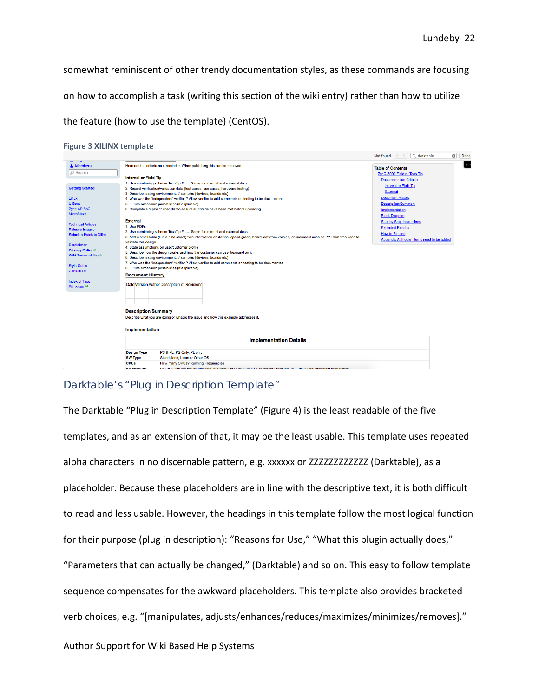$\frac{1}{2}$ 

somewhat reminiscent of other trendy documentation styles, as these commands are focusing on how to accomplish a task (writing this section of the wiki entry) rather than how to utilize the feature (how to use the template) (CentOS).

|  | <b>Figure 3 XILINX template</b> |  |
|--|---------------------------------|--|
|  |                                 |  |

|                                                        |                                                                                                                                                     | Not found $\vert \cdot \vert$ arktable<br>ಀ |
|--------------------------------------------------------|-----------------------------------------------------------------------------------------------------------------------------------------------------|---------------------------------------------|
| sales of the group and control of the set<br>& Members | Here are the criteria as a reminder. When publishing this can be removed.                                                                           | <b>Table of Contents</b>                    |
| $\oslash$ Search                                       |                                                                                                                                                     |                                             |
|                                                        | <b>Internal or Field Tip</b>                                                                                                                        | ZynQ-7000 Field or Tech Tip                 |
|                                                        | 1. Use numbering scheme TechTip #  Same for internal and external docs                                                                              | <b>Documentation Criteria</b>               |
| <b>Getting Started</b>                                 | 2. Record verification/validation data (test cases, use cases, hardware testing)                                                                    | Internal or Field Tip                       |
|                                                        | 3. Describe testing environment. # samples (devices, boards etc)                                                                                    | <b>External</b>                             |
| Linux                                                  | 4. Who was the "independent" verifier ? Allow verifier to add comments on testing to be documented                                                  | <b>Document History</b>                     |
| U-Boot                                                 | 5. Future expansion possibilities (if applicable)                                                                                                   | <b>Description/Summary</b>                  |
| Zyng AP SoC                                            | 6. Complete a "upload" checklist to ensure all criteria have been met before uploading                                                              |                                             |
| MicroBlaze                                             |                                                                                                                                                     | Implementation                              |
|                                                        |                                                                                                                                                     | <b>Block Diagram</b>                        |
| <b>Technical Articles</b>                              | <b>External</b>                                                                                                                                     | <b>Step by Step Instructions</b>            |
| <b>Release Images</b>                                  | 1. Use PDFs                                                                                                                                         | <b>Expected Results</b>                     |
| Submit a Patch to Xilinx                               | 2. Use numbering scheme TechTip #  Same for internal and external docs                                                                              | <b>How to Expand</b>                        |
|                                                        | 3. Add a small table (like a data sheet) with information on device, speed grade, board, software version, environment such as PVT that was used to | Appendix A: If other items need to be added |
| <b>Disclaimer</b>                                      | validate this design                                                                                                                                |                                             |
|                                                        | 4. State assumptions on user/customer profile                                                                                                       |                                             |
| <b>Privacy Policy</b> <sup>57</sup>                    | 5. Describe how the design works and how the customer can use it/expand on it                                                                       |                                             |
| <b>Wiki Terms of Use</b> <sup>27</sup>                 | 6. Describe testing environment. # samples (devices, boards etc)                                                                                    |                                             |
|                                                        | 7. Who was the "independent" verifier ? Allow verifier to add comments on testing to be documented                                                  |                                             |
| <b>Style Guide</b>                                     | 8. Future expansion possibilities (if applicable)                                                                                                   |                                             |
| <b>Contact Us</b>                                      | <b>Document History</b>                                                                                                                             |                                             |
| <b>Index of Tags</b>                                   |                                                                                                                                                     |                                             |
| Xilinx.com <sup>27</sup>                               | Date Version Author Description of Revisions                                                                                                        |                                             |
|                                                        |                                                                                                                                                     |                                             |
|                                                        |                                                                                                                                                     |                                             |
|                                                        |                                                                                                                                                     |                                             |
|                                                        |                                                                                                                                                     |                                             |
|                                                        | <b>Description/Summary</b>                                                                                                                          |                                             |
|                                                        |                                                                                                                                                     |                                             |
|                                                        | Describe what you are doing or what is the issue and how this example addresses it.                                                                 |                                             |
|                                                        |                                                                                                                                                     |                                             |
|                                                        | <b>Implementation</b>                                                                                                                               |                                             |
|                                                        | <b>Implementation Details</b>                                                                                                                       |                                             |
|                                                        | <b>Design Type</b><br>PS & PL, PS Only, PL only                                                                                                     |                                             |
|                                                        | <b>SW Type</b><br>Standalone, Linux or Other OS                                                                                                     |                                             |
|                                                        | <b>CPUs</b><br>How many CPUs? Running Frequencies                                                                                                   |                                             |
|                                                        | Liet of all the PS blocks involved. For example DDR and/or OCM and/or OSRL and/or. Finaluding operating frequencies<br><b>DS Footunge</b>           |                                             |
|                                                        |                                                                                                                                                     |                                             |

# Darktable's "Plug in Description Template"

Author Support for Wiki Based Help Systems The Darktable "Plug in Description Template" (Figure 4) is the least readable of the five templates, and as an extension of that, it may be the least usable. This template uses repeated alpha characters in no discernable pattern, e.g. xxxxxx or ZZZZZZZZZZZZ (Darktable), as a placeholder. Because these placeholders are in line with the descriptive text, it is both difficult to read and less usable. However, the headings in this template follow the most logical function for their purpose (plug in description): "Reasons for Use," "What this plugin actually does," "Parameters that can actually be changed," (Darktable) and so on. This easy to follow template sequence compensates for the awkward placeholders. This template also provides bracketed verb choices, e.g. "[manipulates, adjusts/enhances/reduces/maximizes/minimizes/removes]."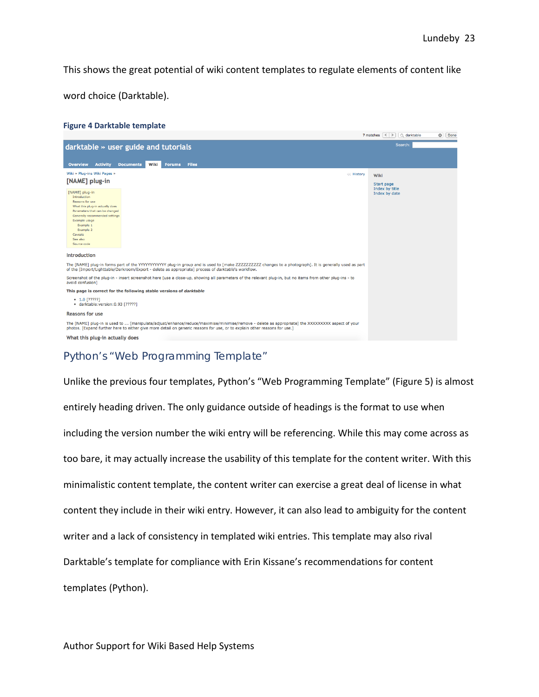This shows the great potential of wiki content templates to regulate elements of content like

word choice (Darktable).

#### **Figure 4 Darktable template**



# Python's "Web Programming Template"

Unlike the previous four templates, Python's "Web Programming Template" (Figure 5) is almost entirely heading driven. The only guidance outside of headings is the format to use when including the version number the wiki entry will be referencing. While this may come across as too bare, it may actually increase the usability of this template for the content writer. With this minimalistic content template, the content writer can exercise a great deal of license in what content they include in their wiki entry. However, it can also lead to ambiguity for the content writer and a lack of consistency in templated wiki entries. This template may also rival Darktable's template for compliance with Erin Kissane's recommendations for content templates (Python).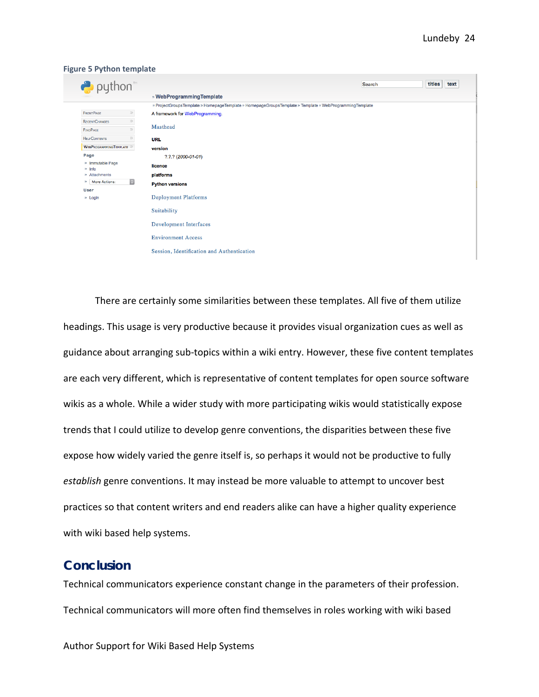| <b>Figure 5 Python template</b>             |                                                                                                         |      |
|---------------------------------------------|---------------------------------------------------------------------------------------------------------|------|
| $\rightarrow$ python                        | titles<br><b>Search</b>                                                                                 | text |
|                                             | » WebProgrammingTemplate                                                                                |      |
|                                             | » ProjectGroupsTemplate » HomepageTemplate » HomepageGroupsTemplate » Template » WebProgrammingTemplate |      |
| <b>FRONTPAGE</b><br>$\gg$                   | A framework for WebProgramming.                                                                         |      |
| $\gg$<br><b>RECENTCHANGES</b>               | Masthead                                                                                                |      |
| $\gg$<br><b>FINDPAGE</b>                    |                                                                                                         |      |
| $\gg$<br><b>HELPCONTENTS</b>                | <b>URL</b>                                                                                              |      |
| WEBPROGRAMMINGTEMPLATE                      | version                                                                                                 |      |
| Page                                        | $7.7.7(2000-01-01)$                                                                                     |      |
| » Immutable Page<br>$\gg$ Info              | licence                                                                                                 |      |
| » Attachments                               | platforms                                                                                               |      |
| $\vert \mathbf{c} \vert$<br>» More Actions: | <b>Python versions</b>                                                                                  |      |
| <b>User</b>                                 |                                                                                                         |      |
| $\gg$ Login                                 | <b>Deployment Platforms</b>                                                                             |      |
|                                             | Suitability                                                                                             |      |
|                                             | Development Interfaces                                                                                  |      |
|                                             | <b>Environment Access</b>                                                                               |      |
|                                             | Session, Identification and Authentication                                                              |      |

There are certainly some similarities between these templates. All five of them utilize headings. This usage is very productive because it provides visual organization cues as well as guidance about arranging sub-topics within a wiki entry. However, these five content templates are each very different, which is representative of content templates for open source software wikis as a whole. While a wider study with more participating wikis would statistically expose trends that I could utilize to develop genre conventions, the disparities between these five expose how widely varied the genre itself is, so perhaps it would not be productive to fully *establish* genre conventions. It may instead be more valuable to attempt to uncover best practices so that content writers and end readers alike can have a higher quality experience with wiki based help systems.

# **Conclusion**

Technical communicators experience constant change in the parameters of their profession. Technical communicators will more often find themselves in roles working with wiki based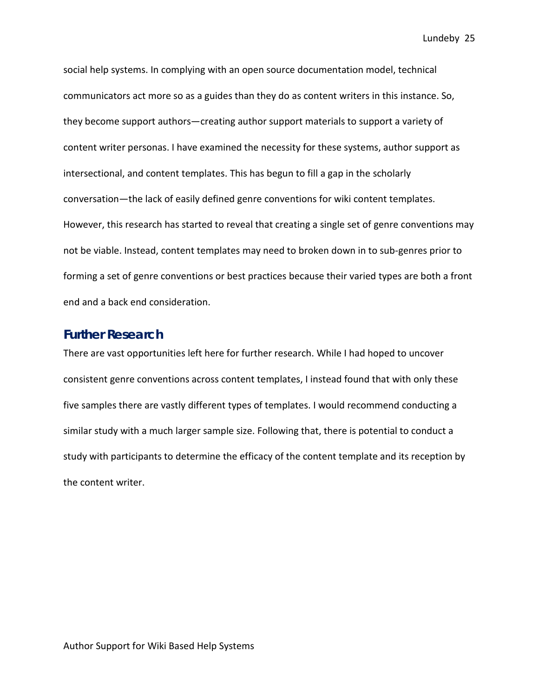social help systems. In complying with an open source documentation model, technical communicators act more so as a guides than they do as content writers in this instance. So, they become support authors—creating author support materials to support a variety of content writer personas. I have examined the necessity for these systems, author support as intersectional, and content templates. This has begun to fill a gap in the scholarly conversation—the lack of easily defined genre conventions for wiki content templates. However, this research has started to reveal that creating a single set of genre conventions may not be viable. Instead, content templates may need to broken down in to sub-genres prior to forming a set of genre conventions or best practices because their varied types are both a front end and a back end consideration.

# **Further Research**

There are vast opportunities left here for further research. While I had hoped to uncover consistent genre conventions across content templates, I instead found that with only these five samples there are vastly different types of templates. I would recommend conducting a similar study with a much larger sample size. Following that, there is potential to conduct a study with participants to determine the efficacy of the content template and its reception by the content writer.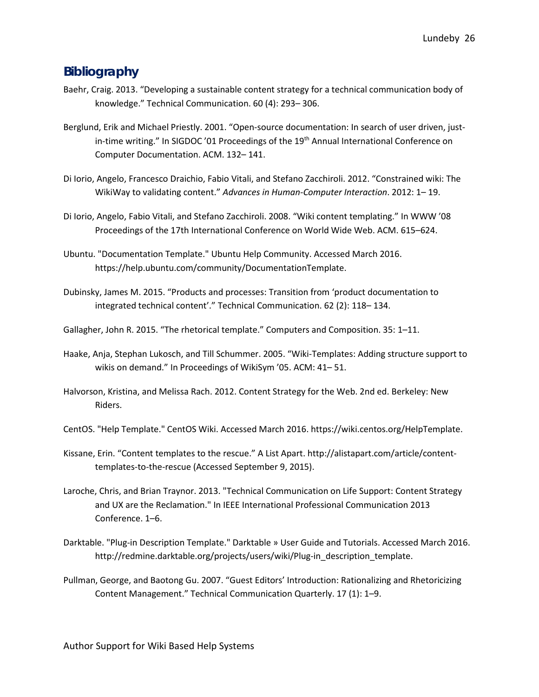# **Bibliography**

- Baehr, Craig. 2013. "Developing a sustainable content strategy for a technical communication body of knowledge." Technical Communication. 60 (4): 293– 306.
- Berglund, Erik and Michael Priestly. 2001. "Open-source documentation: In search of user driven, justin-time writing." In SIGDOC '01 Proceedings of the 19<sup>th</sup> Annual International Conference on Computer Documentation. ACM. 132– 141.
- Di Iorio, Angelo, Francesco Draichio, Fabio Vitali, and Stefano Zacchiroli. 2012. "Constrained wiki: The WikiWay to validating content." *Advances in Human-Computer Interaction*. 2012: 1– 19.
- Di Iorio, Angelo, Fabio Vitali, and Stefano Zacchiroli. 2008. "Wiki content templating." In WWW '08 Proceedings of the 17th International Conference on World Wide Web. ACM. 615–624.
- Ubuntu. "Documentation Template." Ubuntu Help Community. Accessed March 2016. https://help.ubuntu.com/community/DocumentationTemplate.
- Dubinsky, James M. 2015. "Products and processes: Transition from 'product documentation to integrated technical content'." Technical Communication. 62 (2): 118– 134.
- Gallagher, John R. 2015. "The rhetorical template." Computers and Composition. 35: 1–11.
- Haake, Anja, Stephan Lukosch, and Till Schummer. 2005. "Wiki-Templates: Adding structure support to wikis on demand." In Proceedings of WikiSym '05. ACM: 41– 51.
- Halvorson, Kristina, and Melissa Rach. 2012. Content Strategy for the Web. 2nd ed. Berkeley: New Riders.
- CentOS. "Help Template." CentOS Wiki. Accessed March 2016. https://wiki.centos.org/HelpTemplate.
- Kissane, Erin. "Content templates to the rescue." A List Apart. http://alistapart.com/article/contenttemplates-to-the-rescue (Accessed September 9, 2015).
- Laroche, Chris, and Brian Traynor. 2013. "Technical Communication on Life Support: Content Strategy and UX are the Reclamation." In IEEE International Professional Communication 2013 Conference. 1–6.
- Darktable. "Plug-in Description Template." Darktable » User Guide and Tutorials. Accessed March 2016. http://redmine.darktable.org/projects/users/wiki/Plug-in\_description\_template.
- Pullman, George, and Baotong Gu. 2007. "Guest Editors' Introduction: Rationalizing and Rhetoricizing Content Management." Technical Communication Quarterly. 17 (1): 1–9.